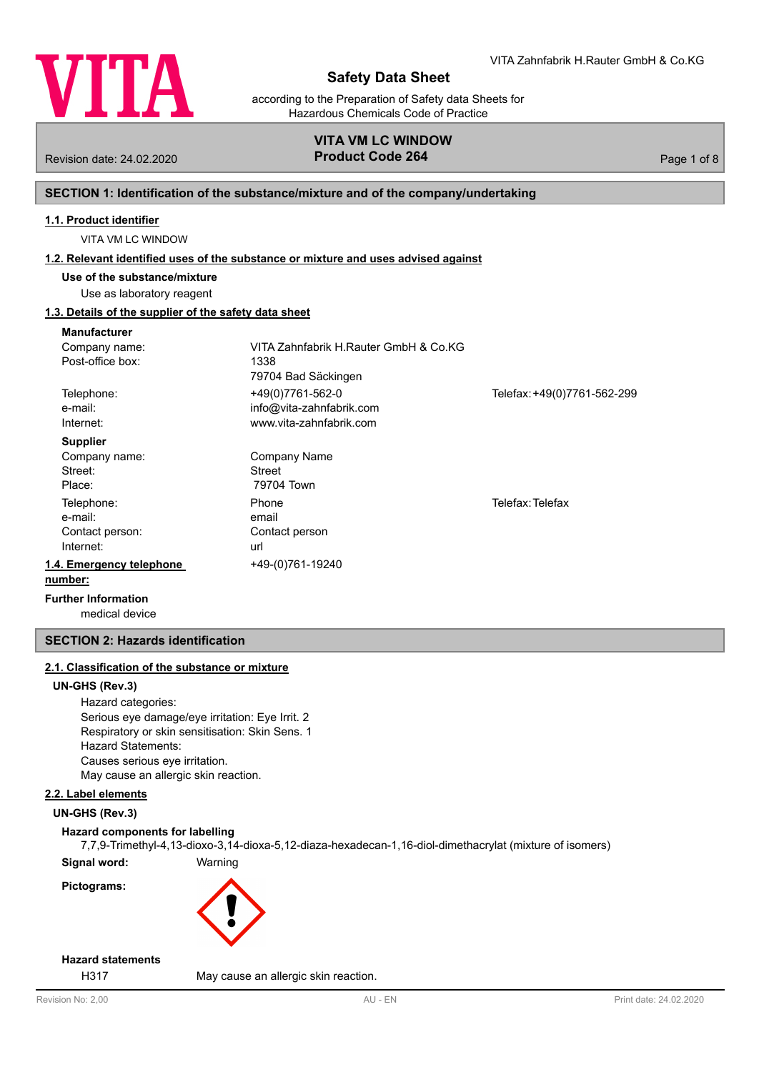

according to the Preparation of Safety data Sheets for Hazardous Chemicals Code of Practice

## **VITA VM LC WINDOW** Revision date: 24.02.2020 **Product Code 264** Page 1 of 8

## **SECTION 1: Identification of the substance/mixture and of the company/undertaking**

## **1.1. Product identifier**

VITA VM LC WINDOW

#### **1.2. Relevant identified uses of the substance or mixture and uses advised against**

**Use of the substance/mixture**

Use as laboratory reagent

## **1.3. Details of the supplier of the safety data sheet**

| <b>Manufacturer</b>          |                                       |                             |
|------------------------------|---------------------------------------|-----------------------------|
| Company name:                | VITA Zahnfabrik H.Rauter GmbH & Co.KG |                             |
| Post-office box:             | 1338                                  |                             |
|                              | 79704 Bad Säckingen                   |                             |
| Telephone:                   | +49(0)7761-562-0                      | Telefax: +49(0)7761-562-299 |
| e-mail:                      | info@vita-zahnfabrik.com              |                             |
| Internet:                    | www.vita-zahnfabrik.com               |                             |
| <b>Supplier</b>              |                                       |                             |
| Company name:                | Company Name                          |                             |
| Street:                      | Street                                |                             |
| Place:                       | 79704 Town                            |                             |
| Telephone:                   | Phone                                 | Telefax: Telefax            |
| e-mail:                      | email                                 |                             |
| Contact person:              | Contact person                        |                             |
| Internet:                    | url                                   |                             |
| 1.4. Emergency telephone     | +49-(0)761-19240                      |                             |
| number:                      |                                       |                             |
| Errothern before and all are |                                       |                             |

medical device **Further Information**

## **SECTION 2: Hazards identification**

## **2.1. Classification of the substance or mixture**

#### **UN-GHS (Rev.3)**

Hazard categories: Serious eye damage/eye irritation: Eye Irrit. 2 Respiratory or skin sensitisation: Skin Sens. 1 Hazard Statements: Causes serious eye irritation. May cause an allergic skin reaction.

## **2.2. Label elements**

## **UN-GHS (Rev.3)**

## **Hazard components for labelling**

7,7,9-Trimethyl-4,13-dioxo-3,14-dioxa-5,12-diaza-hexadecan-1,16-diol-dimethacrylat (mixture of isomers)

**Signal word:** Warning **Pictograms:**



## **Hazard statements**

H317 May cause an allergic skin reaction.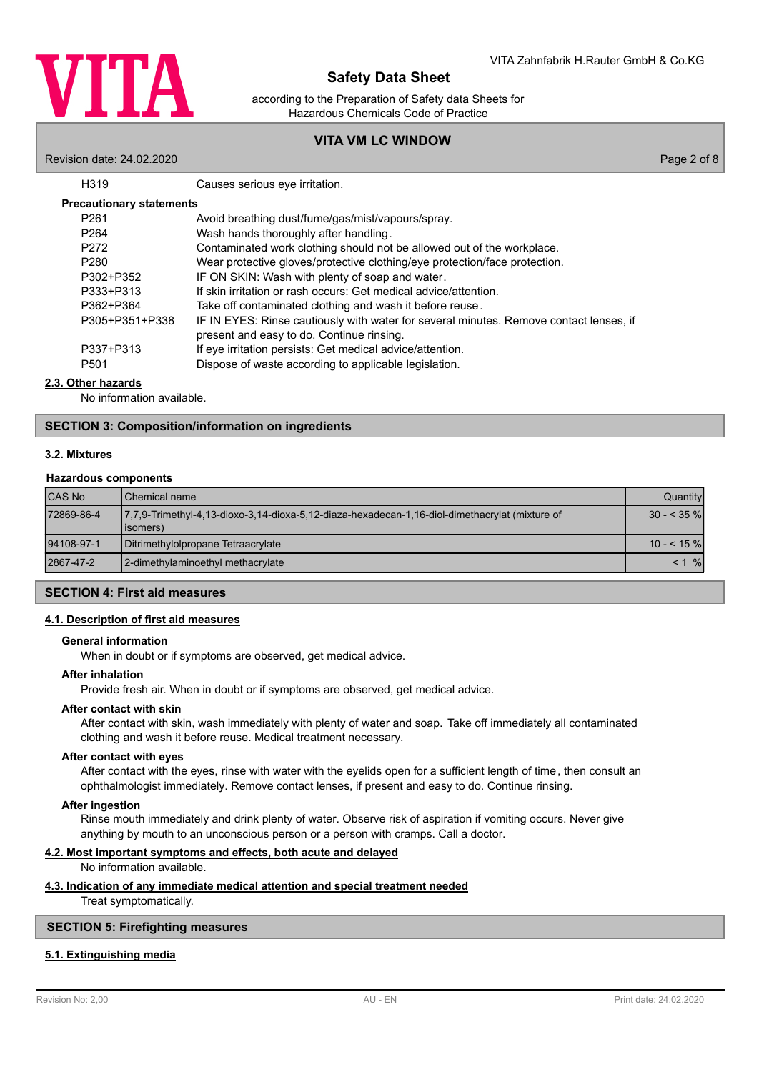

according to the Preparation of Safety data Sheets for Hazardous Chemicals Code of Practice

## **VITA VM LC WINDOW**

Revision date: 24.02.2020 Page 2 of 8

Causes serious eye irritation.

| <b>Precautionary statements</b> |
|---------------------------------|
|---------------------------------|

| P <sub>261</sub> | Avoid breathing dust/fume/gas/mist/vapours/spray.                                      |
|------------------|----------------------------------------------------------------------------------------|
| P <sub>264</sub> | Wash hands thoroughly after handling.                                                  |
| P272             | Contaminated work clothing should not be allowed out of the workplace.                 |
| P <sub>280</sub> | Wear protective gloves/protective clothing/eye protection/face protection.             |
| P302+P352        | IF ON SKIN: Wash with plenty of soap and water.                                        |
| P333+P313        | If skin irritation or rash occurs: Get medical advice/attention.                       |
| P362+P364        | Take off contaminated clothing and wash it before reuse.                               |
| P305+P351+P338   | IF IN EYES: Rinse cautiously with water for several minutes. Remove contact lenses, if |
|                  | present and easy to do. Continue rinsing.                                              |
| P337+P313        | If eye irritation persists: Get medical advice/attention.                              |
| P <sub>501</sub> | Dispose of waste according to applicable legislation.                                  |

## **2.3. Other hazards**

No information available.

### **SECTION 3: Composition/information on ingredients**

## **3.2. Mixtures**

#### **Hazardous components**

| <b>CAS No</b> | <b>I</b> Chemical name                                                                                      | Quantity    |
|---------------|-------------------------------------------------------------------------------------------------------------|-------------|
| 72869-86-4    | 7.7.9-Trimethyl-4.13-dioxo-3.14-dioxa-5.12-diaza-hexadecan-1.16-diol-dimethacrylat (mixture of<br>(lisomers | $30 - 35\%$ |
| 94108-97-1    | Ditrimethylolpropane Tetraacrylate                                                                          | $10 - 55$ % |
| 2867-47-2     | 2-dimethylaminoethyl methacrylate                                                                           | $\%$<br>< 1 |

## **SECTION 4: First aid measures**

#### **4.1. Description of first aid measures**

#### **General information**

When in doubt or if symptoms are observed, get medical advice.

#### **After inhalation**

Provide fresh air. When in doubt or if symptoms are observed, get medical advice.

## **After contact with skin**

After contact with skin, wash immediately with plenty of water and soap. Take off immediately all contaminated clothing and wash it before reuse. Medical treatment necessary.

#### **After contact with eyes**

After contact with the eyes, rinse with water with the eyelids open for a sufficient length of time, then consult an ophthalmologist immediately. Remove contact lenses, if present and easy to do. Continue rinsing.

## **After ingestion**

Rinse mouth immediately and drink plenty of water. Observe risk of aspiration if vomiting occurs. Never give anything by mouth to an unconscious person or a person with cramps. Call a doctor.

## **4.2. Most important symptoms and effects, both acute and delayed**

No information available.

### **4.3. Indication of any immediate medical attention and special treatment needed**

Treat symptomatically.

## **SECTION 5: Firefighting measures**

## **5.1. Extinguishing media**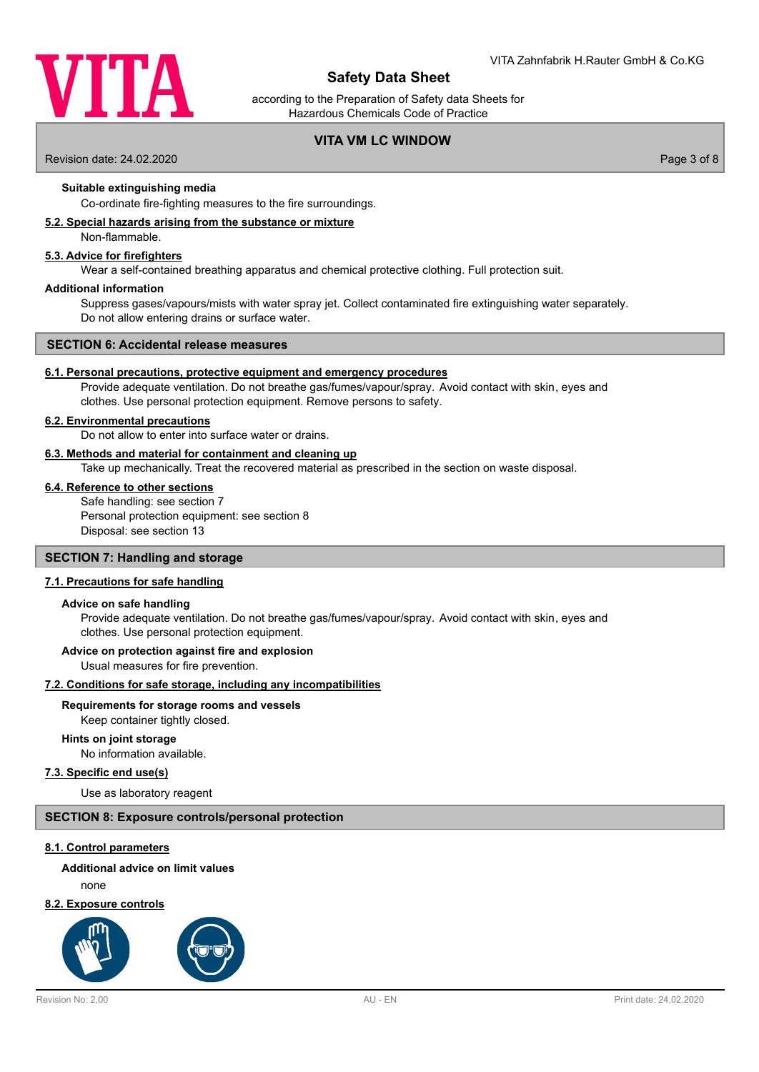

according to the Preparation of Safety data Sheets for Hazardous Chemicals Code of Practice

## **VITA VM LC WINDOW**

Revision date: 24.02.2020 Page 3 of 8

**Suitable extinguishing media**

Co-ordinate fire-fighting measures to the fire surroundings.

#### **5.2. Special hazards arising from the substance or mixture**

Non-flammable.

#### **5.3. Advice for firefighters**

Wear a self-contained breathing apparatus and chemical protective clothing. Full protection suit.

#### **Additional information**

Suppress gases/vapours/mists with water spray jet. Collect contaminated fire extinguishing water separately. Do not allow entering drains or surface water.

#### **SECTION 6: Accidental release measures**

#### **6.1. Personal precautions, protective equipment and emergency procedures**

Provide adequate ventilation. Do not breathe gas/fumes/vapour/spray. Avoid contact with skin, eyes and clothes. Use personal protection equipment. Remove persons to safety.

#### **6.2. Environmental precautions**

Do not allow to enter into surface water or drains.

### **6.3. Methods and material for containment and cleaning up**

Take up mechanically. Treat the recovered material as prescribed in the section on waste disposal.

## **6.4. Reference to other sections**

Safe handling: see section 7 Personal protection equipment: see section 8 Disposal: see section 13

### **SECTION 7: Handling and storage**

#### **7.1. Precautions for safe handling**

#### **Advice on safe handling**

Provide adequate ventilation. Do not breathe gas/fumes/vapour/spray. Avoid contact with skin, eyes and clothes. Use personal protection equipment.

#### **Advice on protection against fire and explosion**

Usual measures for fire prevention.

## **7.2. Conditions for safe storage, including any incompatibilities**

#### **Requirements for storage rooms and vessels**

Keep container tightly closed.

#### **Hints on joint storage**

No information available.

## **7.3. Specific end use(s)**

Use as laboratory reagent

### **SECTION 8: Exposure controls/personal protection**

#### **8.1. Control parameters**

## **Additional advice on limit values**

none

## **8.2. Exposure controls**

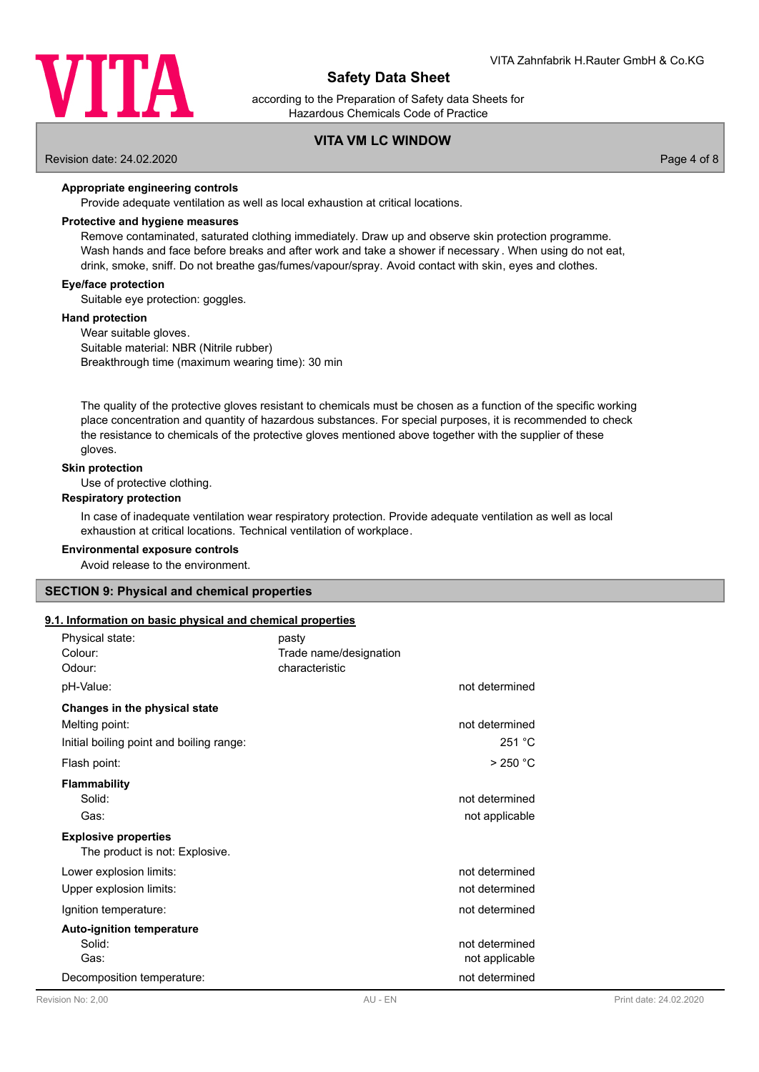

according to the Preparation of Safety data Sheets for Hazardous Chemicals Code of Practice

## **VITA VM LC WINDOW**

Revision date: 24.02.2020 Page 4 of 8

#### **Appropriate engineering controls**

Provide adequate ventilation as well as local exhaustion at critical locations.

#### **Protective and hygiene measures**

Remove contaminated, saturated clothing immediately. Draw up and observe skin protection programme. Wash hands and face before breaks and after work and take a shower if necessary . When using do not eat, drink, smoke, sniff. Do not breathe gas/fumes/vapour/spray. Avoid contact with skin, eyes and clothes.

#### **Eye/face protection**

Suitable eye protection: goggles.

#### **Hand protection**

Wear suitable gloves. Suitable material: NBR (Nitrile rubber) Breakthrough time (maximum wearing time): 30 min

The quality of the protective gloves resistant to chemicals must be chosen as a function of the specific working place concentration and quantity of hazardous substances. For special purposes, it is recommended to check the resistance to chemicals of the protective gloves mentioned above together with the supplier of these gloves.

#### **Skin protection**

Use of protective clothing.

#### **Respiratory protection**

In case of inadequate ventilation wear respiratory protection. Provide adequate ventilation as well as local exhaustion at critical locations. Technical ventilation of workplace.

#### **Environmental exposure controls**

Avoid release to the environment.

#### **SECTION 9: Physical and chemical properties**

#### **9.1. Information on basic physical and chemical properties**

| Physical state:                          | pasty                  |                |                        |
|------------------------------------------|------------------------|----------------|------------------------|
| Colour:                                  | Trade name/designation |                |                        |
| Odour:                                   | characteristic         |                |                        |
| pH-Value:                                |                        | not determined |                        |
| Changes in the physical state            |                        |                |                        |
| Melting point:                           |                        | not determined |                        |
| Initial boiling point and boiling range: |                        | 251 °C         |                        |
| Flash point:                             |                        | >250 °C        |                        |
| <b>Flammability</b>                      |                        |                |                        |
| Solid:                                   |                        | not determined |                        |
| Gas:                                     |                        | not applicable |                        |
| <b>Explosive properties</b>              |                        |                |                        |
| The product is not: Explosive.           |                        |                |                        |
| Lower explosion limits:                  |                        | not determined |                        |
| Upper explosion limits:                  |                        | not determined |                        |
| Ignition temperature:                    |                        | not determined |                        |
| <b>Auto-ignition temperature</b>         |                        |                |                        |
| Solid:                                   |                        | not determined |                        |
| Gas:                                     |                        | not applicable |                        |
| Decomposition temperature:               |                        | not determined |                        |
| Revision No: 200                         | AU - FN                |                | Print date: 24 02 2020 |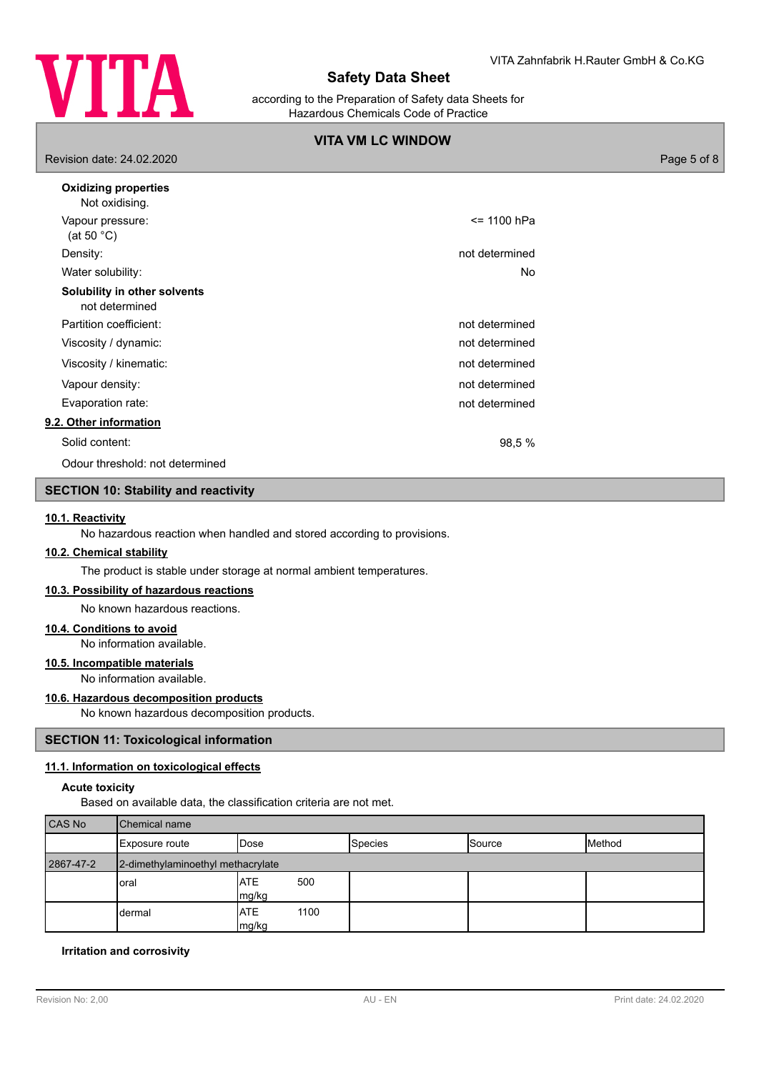

according to the Preparation of Safety data Sheets for Hazardous Chemicals Code of Practice

## **VITA VM LC WINDOW**

Revision date: 24.02.2020 Page 5 of 8

| $= 1100$ hPa<br>not determined<br>No |
|--------------------------------------|
|                                      |
|                                      |
|                                      |
|                                      |
|                                      |
| not determined                       |
| not determined                       |
| not determined                       |
| not determined                       |
| not determined                       |
|                                      |
| 98,5 %                               |
|                                      |
|                                      |

## **SECTION 10: Stability and reactivity**

#### **10.1. Reactivity**

No hazardous reaction when handled and stored according to provisions.

### **10.2. Chemical stability**

The product is stable under storage at normal ambient temperatures.

## **10.3. Possibility of hazardous reactions**

No known hazardous reactions.

#### **10.4. Conditions to avoid**

No information available.

## **10.5. Incompatible materials**

No information available.

#### **10.6. Hazardous decomposition products**

No known hazardous decomposition products.

#### **SECTION 11: Toxicological information**

#### **11.1. Information on toxicological effects**

#### **Acute toxicity**

Based on available data, the classification criteria are not met.

| CAS No    | Chemical name                     |                             |                |               |        |
|-----------|-----------------------------------|-----------------------------|----------------|---------------|--------|
|           | Exposure route                    | IDose                       | <b>Species</b> | <b>Source</b> | Method |
| 2867-47-2 | 2-dimethylaminoethyl methacrylate |                             |                |               |        |
|           | loral                             | <b>ATE</b><br>500<br>mg/kg  |                |               |        |
|           | dermal                            | <b>ATE</b><br>1100<br>mg/kg |                |               |        |

#### **Irritation and corrosivity**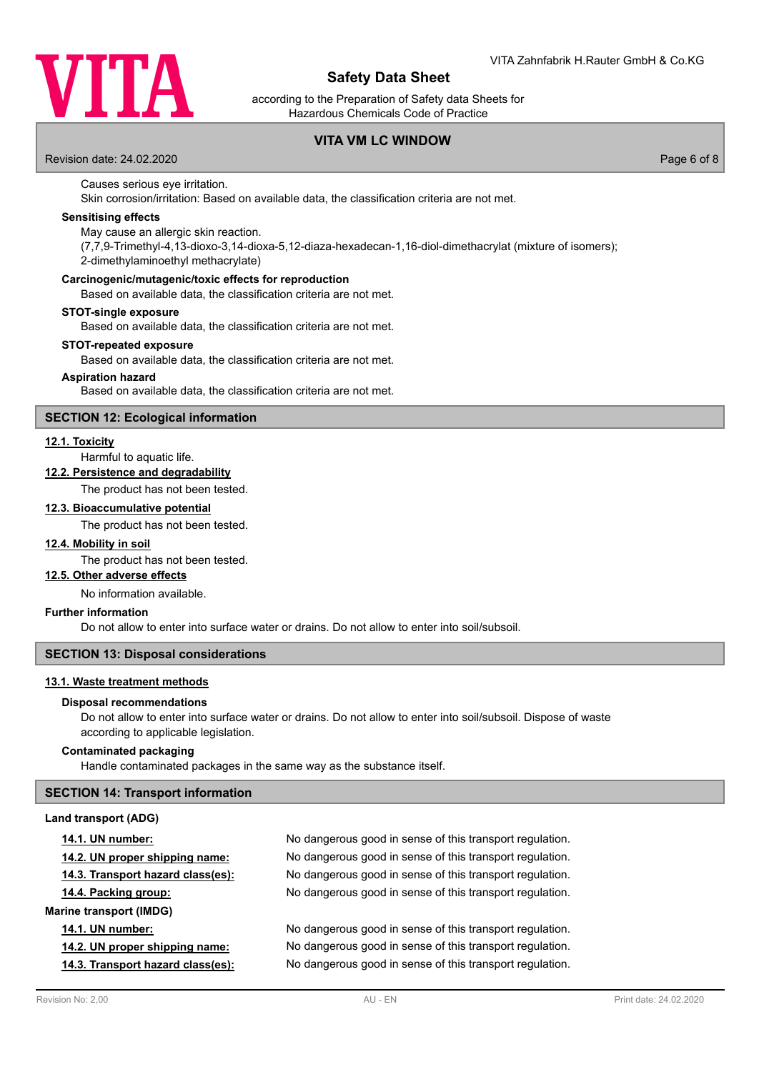

according to the Preparation of Safety data Sheets for Hazardous Chemicals Code of Practice

## **VITA VM LC WINDOW**

Revision date: 24.02.2020 Page 6 of 8

### Causes serious eye irritation.

Skin corrosion/irritation: Based on available data, the classification criteria are not met.

#### **Sensitising effects**

May cause an allergic skin reaction.

(7,7,9-Trimethyl-4,13-dioxo-3,14-dioxa-5,12-diaza-hexadecan-1,16-diol-dimethacrylat (mixture of isomers); 2-dimethylaminoethyl methacrylate)

#### **Carcinogenic/mutagenic/toxic effects for reproduction**

Based on available data, the classification criteria are not met.

#### **STOT-single exposure**

Based on available data, the classification criteria are not met.

#### **STOT-repeated exposure**

Based on available data, the classification criteria are not met.

#### **Aspiration hazard**

Based on available data, the classification criteria are not met.

#### **SECTION 12: Ecological information**

### **12.1. Toxicity**

Harmful to aquatic life.

### **12.2. Persistence and degradability**

The product has not been tested.

#### **12.3. Bioaccumulative potential**

The product has not been tested.

## **12.4. Mobility in soil**

The product has not been tested.

#### **12.5. Other adverse effects**

No information available.

### **Further information**

Do not allow to enter into surface water or drains. Do not allow to enter into soil/subsoil.

#### **SECTION 13: Disposal considerations**

#### **13.1. Waste treatment methods**

#### **Disposal recommendations**

Do not allow to enter into surface water or drains. Do not allow to enter into soil/subsoil. Dispose of waste according to applicable legislation.

## **Contaminated packaging**

Handle contaminated packages in the same way as the substance itself.

### **SECTION 14: Transport information**

#### **Land transport (ADG)**

| <b>14.1. UN number:</b>           | No dangerous good in sense of this transport regulation. |
|-----------------------------------|----------------------------------------------------------|
| 14.2. UN proper shipping name:    | No dangerous good in sense of this transport regulation. |
| 14.3. Transport hazard class(es): | No dangerous good in sense of this transport regulation. |
| 14.4. Packing group:              | No dangerous good in sense of this transport regulation. |
| <b>Marine transport (IMDG)</b>    |                                                          |
| <b>14.1. UN number:</b>           | No dangerous good in sense of this transport regulation. |
| 14.2. UN proper shipping name:    | No dangerous good in sense of this transport regulation. |
| 14.3. Transport hazard class(es): | No dangerous good in sense of this transport regulation. |
|                                   |                                                          |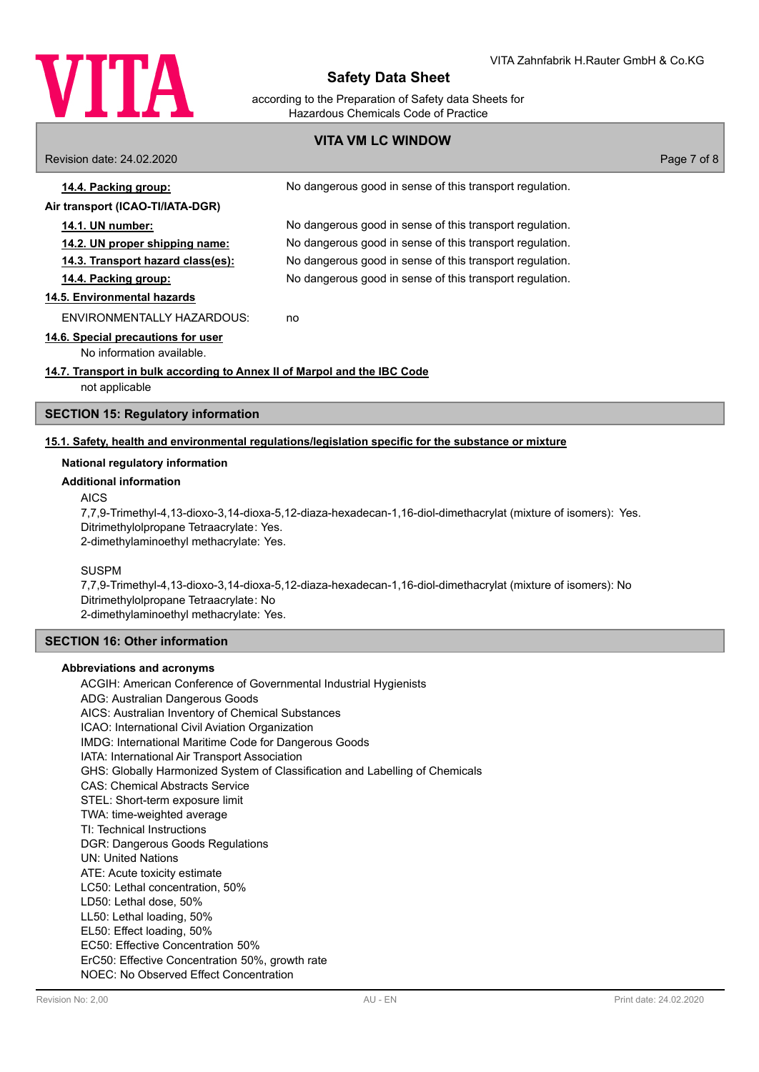

according to the Preparation of Safety data Sheets for Hazardous Chemicals Code of Practice

## **VITA VM LC WINDOW**

Revision date: 24.02.2020 Page 7 of 8 **14.4. Packing group:** No dangerous good in sense of this transport regulation. **Air transport (ICAO-TI/IATA-DGR) 14.1. UN number:** No dangerous good in sense of this transport regulation. **14.2. UN proper shipping name:** No dangerous good in sense of this transport regulation. **14.3. Transport hazard class(es):** No dangerous good in sense of this transport regulation. **14.4. Packing group:** No dangerous good in sense of this transport regulation. **14.5. Environmental hazards** ENVIRONMENTALLY HAZARDOUS: no **14.6. Special precautions for user** No information available. **14.7. Transport in bulk according to Annex II of Marpol and the IBC Code** not applicable

# **SECTION 15: Regulatory information**

## **15.1. Safety, health and environmental regulations/legislation specific for the substance or mixture**

#### **National regulatory information**

#### **Additional information**

#### AICS

7,7,9-Trimethyl-4,13-dioxo-3,14-dioxa-5,12-diaza-hexadecan-1,16-diol-dimethacrylat (mixture of isomers): Yes. Ditrimethylolpropane Tetraacrylate: Yes. 2-dimethylaminoethyl methacrylate: Yes.

#### SUSPM

7,7,9-Trimethyl-4,13-dioxo-3,14-dioxa-5,12-diaza-hexadecan-1,16-diol-dimethacrylat (mixture of isomers): No Ditrimethylolpropane Tetraacrylate: No 2-dimethylaminoethyl methacrylate: Yes.

## **SECTION 16: Other information**

#### **Abbreviations and acronyms**

ACGIH: American Conference of Governmental Industrial Hygienists ADG: Australian Dangerous Goods AICS: Australian Inventory of Chemical Substances ICAO: International Civil Aviation Organization IMDG: International Maritime Code for Dangerous Goods IATA: International Air Transport Association GHS: Globally Harmonized System of Classification and Labelling of Chemicals CAS: Chemical Abstracts Service STEL: Short-term exposure limit TWA: time-weighted average TI: Technical Instructions DGR: Dangerous Goods Regulations UN: United Nations ATE: Acute toxicity estimate LC50: Lethal concentration, 50% LD50: Lethal dose, 50% LL50: Lethal loading, 50% EL50: Effect loading, 50% EC50: Effective Concentration 50% ErC50: Effective Concentration 50%, growth rate NOEC: No Observed Effect Concentration